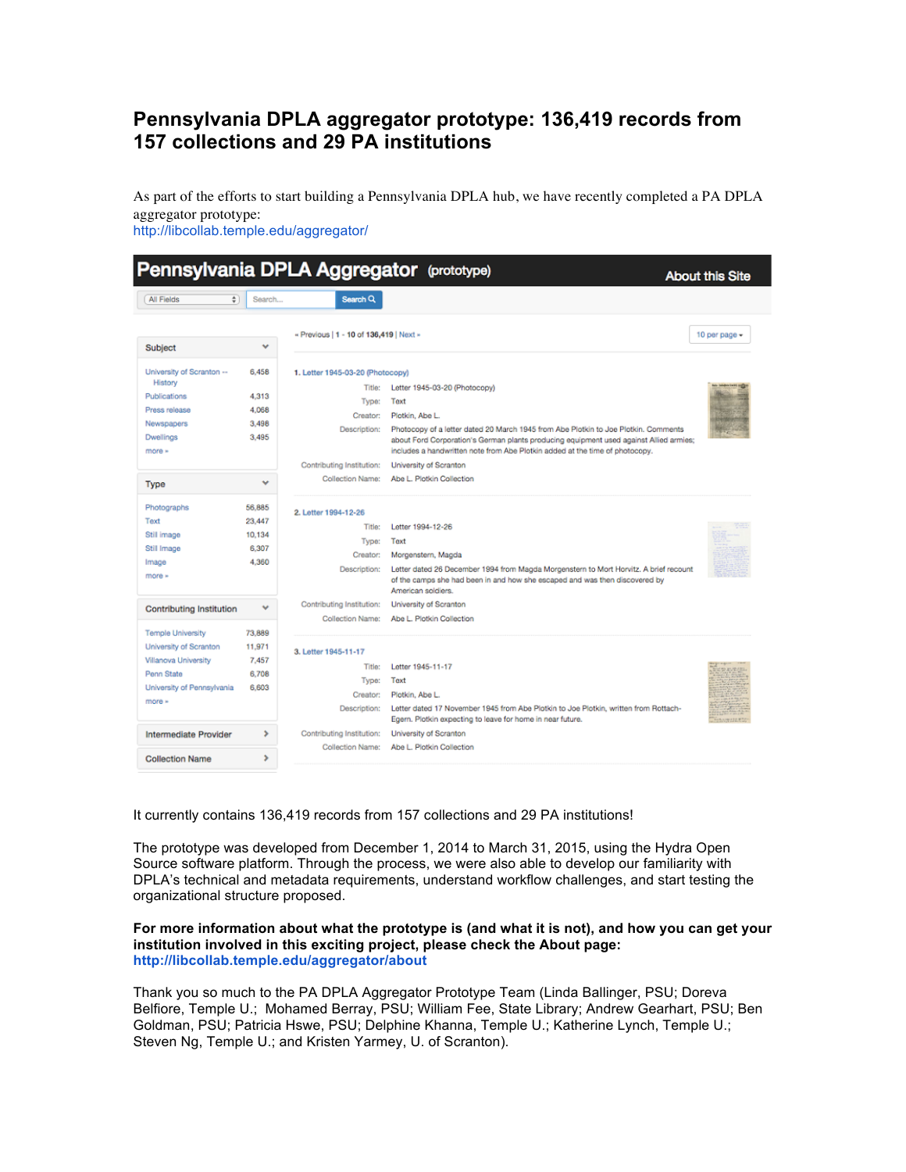## **Pennsylvania DPLA aggregator prototype: 136,419 records from 157 collections and 29 PA institutions**

As part of the efforts to start building a Pennsylvania DPLA hub, we have recently completed a PA DPLA aggregator prototype:

http://libcollab.temple.edu/aggregator/

|                                                                                                                                  |                                              |                                                                                                              | Pennsylvania DPLA Aggregator (prototype)                                                                                                                                                                                                                                                                                                            | <b>About this Site</b> |
|----------------------------------------------------------------------------------------------------------------------------------|----------------------------------------------|--------------------------------------------------------------------------------------------------------------|-----------------------------------------------------------------------------------------------------------------------------------------------------------------------------------------------------------------------------------------------------------------------------------------------------------------------------------------------------|------------------------|
| ÷.<br><b>All Fields</b>                                                                                                          | Search                                       | Search Q                                                                                                     |                                                                                                                                                                                                                                                                                                                                                     |                        |
| Subject                                                                                                                          | v                                            | « Previous   1 - 10 of 136,419   Next »                                                                      |                                                                                                                                                                                                                                                                                                                                                     | 10 per page -          |
| University of Scranton --<br>History<br>Publications<br>Press release<br>Newspapers<br><b>Dwellings</b><br>more »                | 6.458<br>4.313<br>4.068<br>3,498<br>3.495    | 1. Letter 1945-03-20 (Photocopy)<br>Title:<br>Type:<br>Creator:<br>Description:<br>Contributing Institution: | Letter 1945-03-20 (Photocopy)<br>Text<br>Plotkin, Abe L.<br>Photocopy of a letter dated 20 March 1945 from Abe Plotkin to Joe Plotkin. Comments<br>about Ford Corporation's German plants producing equipment used against Allied armies;<br>includes a handwritten note from Abe Plotkin added at the time of photocopy.<br>University of Scranton |                        |
| Type                                                                                                                             | v                                            | <b>Collection Name:</b>                                                                                      | Abe L. Plotkin Collection                                                                                                                                                                                                                                                                                                                           |                        |
| Photographs<br>Text<br>Still image<br>Still Image<br>Image<br>more »                                                             | 56,885<br>23.447<br>10.134<br>6.307<br>4.360 | 2. Letter 1994-12-26<br>Title:<br>Type:<br>Creator:<br>Description:                                          | Letter 1994-12-26<br>Text<br>Morgenstern, Magda<br>Letter dated 26 December 1994 from Magda Morgenstern to Mort Horvitz. A brief recount<br>of the camps she had been in and how she escaped and was then discovered by<br>American soldiers.                                                                                                       |                        |
| <b>Contributing Institution</b>                                                                                                  | v                                            | Contributing Institution:<br><b>Collection Name:</b>                                                         | University of Scranton<br>Abe L. Plotkin Collection                                                                                                                                                                                                                                                                                                 |                        |
| <b>Temple University</b><br>University of Scranton<br>Villanova University<br>Penn State<br>University of Pennsylvania<br>more » | 73,889<br>11,971<br>7.457<br>6.708<br>6,603  | 3. Letter 1945-11-17<br>Title:<br>Type:<br>Creator:<br>Description:                                          | Letter 1945-11-17<br>Text<br>Plotkin, Abe L.<br>Letter dated 17 November 1945 from Abe Plotkin to Joe Plotkin, written from Rottach-<br>Egern. Plotkin expecting to leave for home in near future.                                                                                                                                                  | HANNELLET              |
| Intermediate Provider<br><b>Collection Name</b>                                                                                  | ٠<br>٠                                       | Contributing Institution:<br><b>Collection Name:</b>                                                         | University of Scranton<br>Abe L. Plotkin Collection                                                                                                                                                                                                                                                                                                 |                        |

It currently contains 136,419 records from 157 collections and 29 PA institutions!

The prototype was developed from December 1, 2014 to March 31, 2015, using the Hydra Open Source software platform. Through the process, we were also able to develop our familiarity with DPLA's technical and metadata requirements, understand workflow challenges, and start testing the organizational structure proposed.

## **For more information about what the prototype is (and what it is not), and how you can get your institution involved in this exciting project, please check the About page: http://libcollab.temple.edu/aggregator/about**

Thank you so much to the PA DPLA Aggregator Prototype Team (Linda Ballinger, PSU; Doreva Belfiore, Temple U.; Mohamed Berray, PSU; William Fee, State Library; Andrew Gearhart, PSU; Ben Goldman, PSU; Patricia Hswe, PSU; Delphine Khanna, Temple U.; Katherine Lynch, Temple U.; Steven Ng, Temple U.; and Kristen Yarmey, U. of Scranton).